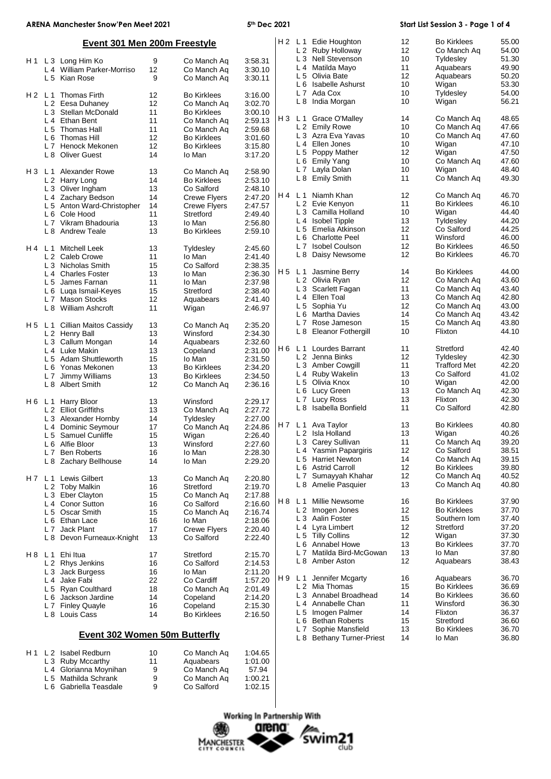| ARENA Manchester Snow'Pen Meet 2021 |     |                                      | 5th Dec 2021 |                     |         | Start List Session 3 - Page 1 of 4 |                                      |          |                            |                |
|-------------------------------------|-----|--------------------------------------|--------------|---------------------|---------|------------------------------------|--------------------------------------|----------|----------------------------|----------------|
| <b>Event 301 Men 200m Freestyle</b> |     |                                      |              |                     |         |                                    | H 2 L 1 Edie Houghton                | 12       | <b>Bo Kirklees</b>         | 55.00          |
|                                     |     |                                      |              |                     |         |                                    | L 2 Ruby Holloway                    | 12       | Co Manch Aq                | 54.00          |
| H 1                                 |     | L 3 Long Him Ko                      | 9            | Co Manch Aq         | 3:58.31 |                                    | L 3 Nell Stevenson                   | 10       | Tyldesley                  | 51.30          |
|                                     |     | L 4 William Parker-Morriso           | 12           | Co Manch Aq         | 3:30.10 |                                    | L 4 Matilda Mayo                     | 11       | Aquabears                  | 49.90          |
|                                     |     | L 5 Kian Rose                        | 9            | Co Manch Aq         | 3:30.11 |                                    | L 5 Olivia Bate                      | 12       | Aquabears                  | 50.20          |
|                                     |     |                                      |              |                     |         |                                    | L 6 Isabelle Ashurst                 | 10       | Wigan                      | 53.30          |
|                                     |     | H 2 L 1 Thomas Firth                 | 12           | <b>Bo Kirklees</b>  | 3:16.00 |                                    | L 7 Ada Cox                          | 10       | Tyldesley                  | 54.00          |
|                                     |     | L 2 Eesa Duhaney                     | 12           | Co Manch Aq         | 3:02.70 |                                    | L 8 India Morgan                     | 10       | Wigan                      | 56.21          |
|                                     |     | L 3 Stellan McDonald                 | 11           | <b>Bo Kirklees</b>  | 3:00.10 |                                    |                                      |          |                            |                |
|                                     |     | L 4 Ethan Bent                       | 11           | Co Manch Aq         | 2:59.13 |                                    | H 3 L 1 Grace O'Malley               | 14       | Co Manch Aq                | 48.65          |
|                                     |     | L 5 Thomas Hall                      | 11           | Co Manch Aq         | 2:59.68 |                                    | L 2 Emily Rowe                       | 10       | Co Manch Aq                | 47.66          |
|                                     |     | L 6 Thomas Hill                      | 12           | <b>Bo Kirklees</b>  | 3:01.60 |                                    | L 3 Azra Eva Yavas                   | 10       | Co Manch Ag                | 47.60          |
|                                     |     | L 7 Henock Mekonen                   | 12           | <b>Bo Kirklees</b>  | 3:15.80 |                                    | L 4 Ellen Jones                      | 10       | Wigan                      | 47.10          |
|                                     |     | L 8 Oliver Guest                     | 14           | lo Man              | 3:17.20 |                                    | L 5 Poppy Mather                     | 12       | Wigan                      | 47.50          |
|                                     |     |                                      |              |                     |         |                                    | L 6 Emily Yang                       | 10       | Co Manch Aq                | 47.60          |
| H3                                  |     | L <sub>1</sub> Alexander Rowe        | 13           | Co Manch Aq         | 2:58.90 |                                    | L 7 Layla Dolan                      | 10       | Wigan                      | 48.40          |
|                                     |     | L 2 Harry Long                       | 14           | <b>Bo Kirklees</b>  | 2:53.10 |                                    | L 8 Emily Smith                      | 11       | Co Manch Aq                | 49.30          |
|                                     |     | L 3 Oliver Ingham                    | 13           | Co Salford          | 2:48.10 |                                    |                                      |          |                            |                |
|                                     |     | L 4 Zachary Bedson                   | 14           | Crewe Flyers        | 2:47.20 |                                    | H 4 L 1 Niamh Khan                   | 12       | Co Manch Aq                | 46.70          |
|                                     |     | L 5 Anton Ward-Christopher           | 14           | <b>Crewe Flyers</b> | 2:47.57 |                                    | L 2 Evie Kenyon                      | 11       | <b>Bo Kirklees</b>         | 46.10          |
|                                     |     | L 6 Cole Hood                        | 11           | Stretford           | 2:49.40 |                                    | L 3 Camilla Holland                  | 10       | Wigan                      | 44.40          |
|                                     |     | L 7 Vikram Bhadouria                 | 13           | lo Man              | 2:56.80 |                                    | L 4 Isobel Tipple                    | 13       | Tyldesley                  | 44.20          |
|                                     |     | L 8 Andrew Teale                     | 13           | <b>Bo Kirklees</b>  | 2:59.10 |                                    | L 5 Emelia Atkinson                  | 12<br>11 | Co Salford<br>Winsford     | 44.25<br>46.00 |
|                                     |     |                                      |              |                     |         |                                    | L 6 Charlotte Peel                   |          |                            |                |
| H 4                                 |     | L 1 Mitchell Leek                    | 13           | Tyldesley           | 2:45.60 |                                    | L 7 Isobel Coulson                   | 12<br>12 | <b>Bo Kirklees</b>         | 46.50<br>46.70 |
|                                     |     | L 2 Caleb Crowe                      | 11           | lo Man              | 2:41.40 |                                    | L 8 Daisy Newsome                    |          | <b>Bo Kirklees</b>         |                |
|                                     |     | L 3 Nicholas Smith                   | 15           | Co Salford          | 2:38.35 |                                    | H 5 L 1 Jasmine Berry                | 14       | <b>Bo Kirklees</b>         | 44.00          |
|                                     |     | L <sub>4</sub> Charles Foster        | 13           | lo Man              | 2:36.30 |                                    | L 2 Olivia Ryan                      | 12       |                            | 43.60          |
|                                     |     | L 5 James Farnan                     | 11           | lo Man              | 2:37.98 |                                    |                                      | 11       | Co Manch Aq                | 43.40          |
|                                     |     | L 6 Luga Ismail-Keyes                | 15           | Stretford           | 2:38.40 |                                    | L 3 Scarlett Fagan<br>L 4 Ellen Toal | 13       | Co Manch Aq                | 42.80          |
|                                     |     | L 7 Mason Stocks                     | 12           | Aquabears           | 2:41.40 |                                    | L 5 Sophia Yu                        | 12       | Co Manch Ag<br>Co Manch Aq | 43.00          |
|                                     |     | L 8 William Ashcroft                 | 11           | Wigan               | 2:46.97 |                                    | L 6 Martha Davies                    | 14       | Co Manch Ag                | 43.42          |
|                                     |     |                                      |              |                     |         |                                    | L 7 Rose Jameson                     | 15       | Co Manch Ag                | 43.80          |
| H 5                                 | L 1 | Cillian Maitos Cassidy               | 13           | Co Manch Aq         | 2:35.20 |                                    | L 8 Eleanor Fothergill               | 10       | Flixton                    | 44.10          |
|                                     |     | L 2 Henry Ball                       | 13           | Winsford            | 2:34.30 |                                    |                                      |          |                            |                |
|                                     |     | L 3 Callum Mongan                    | 14           | Aquabears           | 2:32.60 |                                    | H6 L1 Lourdes Barrant                | 11       | Stretford                  | 42.40          |
|                                     |     | L 4 Luke Makin                       | 13           | Copeland            | 2:31.00 |                                    | L 2 Jenna Binks                      | 12       | Tyldesley                  | 42.30          |
|                                     |     | L 5 Adam Shuttleworth                | 15           | lo Man              | 2:31.50 |                                    | L 3 Amber Cowgill                    | 11       | <b>Trafford Met</b>        | 42.20          |
|                                     |     | L 6 Yonas Mekonen                    | 13           | <b>Bo Kirklees</b>  | 2:34.20 |                                    | L 4 Ruby Wakelin                     | 13       | Co Salford                 | 41.02          |
|                                     |     | L 7 Jimmy Williams                   | 13           | <b>Bo Kirklees</b>  | 2:34.50 |                                    | L 5 Olivia Knox                      | 10       | Wigan                      | 42.00          |
|                                     |     | L 8 Albert Smith                     | 12           | Co Manch Ag         | 2:36.16 |                                    | L 6 Lucy Green                       | 13       | Co Manch Aq                | 42.30          |
|                                     |     |                                      |              |                     |         |                                    | L 7 Lucy Ross                        | 13       | Flixton                    | 42.30          |
|                                     |     | H 6 L 1 Harry Bloor                  | 13           | Winsford            | 2:29.17 |                                    | L 8 Isabella Bonfield                | 11       | Co Salford                 | 42.80          |
|                                     |     | L 2 Elliot Griffiths                 | 13           | Co Manch Aq         | 2:27.72 |                                    |                                      |          |                            |                |
|                                     |     | L 3 Alexander Hornby                 | 14           | Tyldesley           | 2:27.00 |                                    | H 7 L 1 Ava Taylor                   | 13       | <b>Bo Kirklees</b>         | 40.80          |
|                                     |     | L 4 Dominic Seymour                  | 17           | Co Manch Aq         | 2:24.86 |                                    | L 2 Isla Holland                     | 13       | Wigan                      | 40.26          |
|                                     |     | L 5 Samuel Cunliffe                  | 15           | Wigan               | 2:26.40 |                                    | L 3 Carey Sullivan                   | 11       | Co Manch Aq                | 39.20          |
|                                     |     | L 6 Alfie Bloor                      | 13           | Winsford            | 2:27.60 |                                    | L 4 Yasmin Papargiris                | 12       | Co Salford                 | 38.51          |
|                                     |     | L 7 Ben Roberts                      | 16           | lo Man              | 2:28.30 |                                    | L 5 Harriet Newton                   | 14       | Co Manch Aq                | 39.15          |
|                                     |     | L 8 Zachary Bellhouse                | 14           | lo Man              | 2:29.20 |                                    | L 6 Astrid Carroll                   | 12       | <b>Bo Kirklees</b>         | 39.80          |
|                                     |     |                                      |              |                     |         |                                    | L 7 Sumayyah Khahar                  | 12       | Co Manch Ag                | 40.52          |
|                                     |     | H7 L1 Lewis Gilbert                  | 13           | Co Manch Ag         | 2:20.80 |                                    | L 8 Amelie Pasquier                  | 13       | Co Manch Aq                | 40.80          |
|                                     |     | L 2 Toby Malkin                      | 16           | Stretford           | 2:19.70 |                                    |                                      |          |                            |                |
|                                     |     | L 3 Eber Clayton                     | 15           | Co Manch Aq         | 2:17.88 |                                    | H 8 L 1 Millie Newsome               | 16       | <b>Bo Kirklees</b>         | 37.90          |
|                                     |     | L 4 Conor Sutton                     | 16           | Co Salford          | 2:16.60 |                                    | L 2 Imogen Jones                     | 12       | <b>Bo Kirklees</b>         | 37.70          |
|                                     |     | L 5 Oscar Smith                      | 15           | Co Manch Aq         | 2:16.74 |                                    | L 3 Aalin Foster                     | 15       | Southern Iom               | 37.40          |
|                                     |     | L 6 Ethan Lace                       | 16           | lo Man              | 2:18.06 |                                    | L 4 Lyra Limbert                     | 12       | Stretford                  | 37.20          |
|                                     |     | L 7 Jack Plant                       | 17           | <b>Crewe Flyers</b> | 2:20.40 |                                    | L 5 Tilly Collins                    | 12       | Wigan                      | 37.30          |
|                                     |     | L 8 Devon Furneaux-Knight            | 13           | Co Salford          | 2:22.40 |                                    | L 6 Annabel Howe                     | 13       | <b>Bo Kirklees</b>         | 37.70          |
|                                     |     |                                      |              |                     |         |                                    | L 7 Matilda Bird-McGowan             | 13       | lo Man                     | 37.80          |
|                                     |     | H 8 L 1 Ehiltua                      | 17           | Stretford           | 2:15.70 |                                    | L 8 Amber Aston                      | 12       | Aquabears                  | 38.43          |
|                                     |     | L 2 Rhys Jenkins                     | 16           | Co Salford          | 2:14.53 |                                    |                                      |          |                            |                |
|                                     |     | L 3 Jack Burgess                     | 16           | lo Man              | 2:11.20 |                                    | H 9 L 1 Jennifer Mcgarty             | 16       | Aquabears                  | 36.70          |
|                                     |     | L 4 Jake Fabi                        | 22           | Co Cardiff          | 1:57.20 |                                    | L 2 Mia Thomas                       | 15       | <b>Bo Kirklees</b>         | 36.69          |
|                                     |     | L 5 Ryan Coulthard                   | 18           | Co Manch Aq         | 2:01.49 |                                    | L 3 Annabel Broadhead                | 14       | <b>Bo Kirklees</b>         | 36.60          |
|                                     |     | L 6 Jackson Jardine                  | 14           | Copeland            | 2:14.20 |                                    | L 4 Annabelle Chan                   | 11       | Winsford                   | 36.30          |
|                                     |     | L 7 Finley Quayle                    | 16           | Copeland            | 2:15.30 |                                    | L 5 Imogen Palmer                    | 14       | Flixton                    | 36.37          |
|                                     |     | L 8 Louis Cass                       | 14           | <b>Bo Kirklees</b>  | 2:16.50 |                                    | L 6 Bethan Roberts                   | 15       | Stretford                  | 36.60          |
|                                     |     |                                      |              |                     |         |                                    | L 7 Sophie Mansfield                 | 13       | <b>Bo Kirklees</b>         | 36.70          |
|                                     |     | <b>Event 302 Women 50m Butterfly</b> |              |                     |         |                                    | L 8 Bethany Turner-Priest            | 14       | lo Man                     | 36.80          |
| H 1                                 |     | L 2 Isabel Redburn                   | 10           | Co Manch Aq         | 1:04.65 |                                    |                                      |          |                            |                |
|                                     |     | L 3 Ruby Mccarthy                    | 11           | Aquabears           | 1:01.00 |                                    |                                      |          |                            |                |
|                                     |     | L 4 Glorianna Moynihan               | 9            | Co Manch Aq         | 57.94   |                                    |                                      |          |                            |                |
|                                     |     | L 5 Mathilda Schrank                 | 9            | Co Manch Aq         | 1:00.21 |                                    |                                      |          |                            |                |
|                                     |     | L 6 Gabriella Teasdale               | 9            | Co Salford          | 1:02.15 |                                    |                                      |          |                            |                |

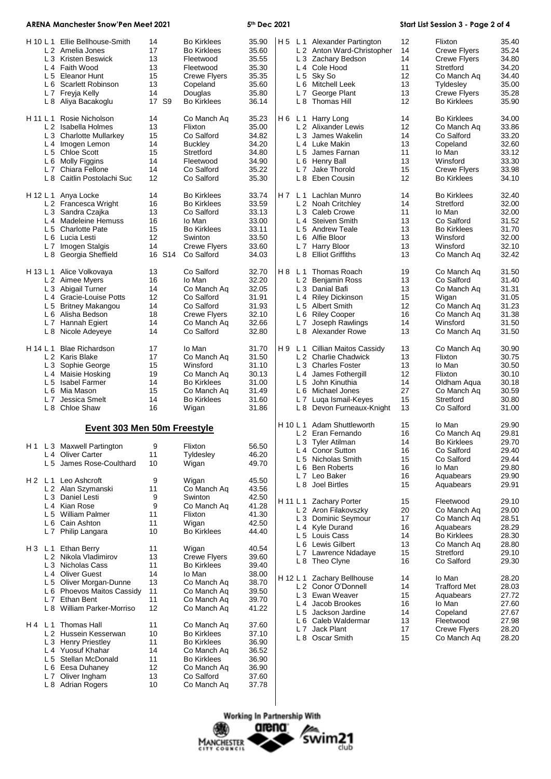| <b>ARENA Manchester Snow'Pen Meet 2021</b> |                                                                                                                                                                                                           |                                                  |                                                                                                                                          | 5th Dec 2021                                                         |     |                                                                                                                                                                                                  | Start List Session 3 - Page 2 of 4           |                                                                                                                                      |                                                                      |
|--------------------------------------------|-----------------------------------------------------------------------------------------------------------------------------------------------------------------------------------------------------------|--------------------------------------------------|------------------------------------------------------------------------------------------------------------------------------------------|----------------------------------------------------------------------|-----|--------------------------------------------------------------------------------------------------------------------------------------------------------------------------------------------------|----------------------------------------------|--------------------------------------------------------------------------------------------------------------------------------------|----------------------------------------------------------------------|
| H 10 L 1                                   | Ellie Bellhouse-Smith<br>L 2 Amelia Jones<br>L 3 Kristen Beswick<br>L 4 Faith Wood<br>L 5 Eleanor Hunt<br>L 6 Scarlett Robinson<br>L 7 Freyja Kelly<br>L 8 Aliya Bacakoglu                                | 14<br>17<br>13<br>13<br>15<br>13<br>14<br>17 S9  | <b>Bo Kirklees</b><br><b>Bo Kirklees</b><br>Fleetwood<br>Fleetwood<br>Crewe Flyers<br>Copeland<br>Douglas<br><b>Bo Kirklees</b>          | 35.90<br>35.60<br>35.55<br>35.30<br>35.35<br>35.60<br>35.80<br>36.14 |     | H 5 L 1 Alexander Partington<br>L 2 Anton Ward-Christopher<br>L 3 Zachary Bedson<br>L 4 Cole Hood<br>L 5 Sky So<br>L 6 Mitchell Leek<br>L 7 George Plant<br>L 8 Thomas Hill                      | 12<br>14<br>14<br>11<br>12<br>13<br>13<br>12 | Flixton<br><b>Crewe Flyers</b><br>Crewe Flyers<br>Stretford<br>Co Manch Aq<br>Tyldesley<br><b>Crewe Flyers</b><br><b>Bo Kirklees</b> | 35.40<br>35.24<br>34.80<br>34.20<br>34.40<br>35.00<br>35.28<br>35.90 |
| H 11 L 1                                   | Rosie Nicholson<br>L 2 Isabella Holmes<br>L 3 Charlotte Mullarkey<br>L 4 Imogen Lemon<br>L 5 Chloe Scott<br>L 6 Molly Figgins<br>L 7 Chiara Fellone<br>L 8 Caitlin Postolachi Suc                         | 14<br>13<br>15<br>14<br>15<br>14<br>14<br>12     | Co Manch Aq<br>Flixton<br>Co Salford<br><b>Buckley</b><br>Stretford<br>Fleetwood<br>Co Salford<br>Co Salford                             | 35.23<br>35.00<br>34.82<br>34.20<br>34.80<br>34.90<br>35.22<br>35.30 | H 6 | L 1 Harry Long<br>L 2 Alixander Lewis<br>L 3 James Wakelin<br>L 4 Luke Makin<br>L 5 James Farnan<br>L 6 Henry Ball<br>L 7 Jake Thorold<br>L 8 Eben Cousin                                        | 14<br>12<br>14<br>13<br>11<br>13<br>15<br>12 | <b>Bo Kirklees</b><br>Co Manch Aq<br>Co Salford<br>Copeland<br>lo Man<br>Winsford<br><b>Crewe Flyers</b><br><b>Bo Kirklees</b>       | 34.00<br>33.86<br>33.20<br>32.60<br>33.12<br>33.30<br>33.98<br>34.10 |
|                                            | H 12 L 1 Anya Locke<br>L 2 Francesca Wright<br>L 3 Sandra Czajka<br>L 4 Madeleine Hemuss<br>L 5 Charlotte Pate<br>L 6 Lucia Lesti<br>L 7 Imogen Stalgis<br>L 8 Georgia Sheffield                          | 14<br>16<br>13<br>16<br>15<br>12<br>14<br>16 S14 | <b>Bo Kirklees</b><br><b>Bo Kirklees</b><br>Co Salford<br>Io Man<br><b>Bo Kirklees</b><br>Swinton<br><b>Crewe Flyers</b><br>Co Salford   | 33.74<br>33.59<br>33.13<br>33.00<br>33.11<br>33.50<br>33.60<br>34.03 |     | H 7 L 1 Lachlan Munro<br>L 2 Noah Critchley<br>L 3 Caleb Crowe<br>L <sub>4</sub> Steiven Smith<br>L 5 Andrew Teale<br>L 6 Alfie Bloor<br>L 7 Harry Bloor<br>L 8 Elliot Griffiths                 | 14<br>14<br>11<br>13<br>13<br>13<br>13<br>13 | <b>Bo Kirklees</b><br>Stretford<br>lo Man<br>Co Salford<br><b>Bo Kirklees</b><br>Winsford<br>Winsford<br>Co Manch Aq                 | 32.40<br>32.00<br>32.00<br>31.52<br>31.70<br>32.00<br>32.10<br>32.42 |
|                                            | H 13 L 1 Alice Volkovaya<br>L 2 Aimee Myers<br>L 3 Abigail Turner<br>L 4 Gracie-Louise Potts<br>L 5 Britney Makangou<br>L 6 Alisha Bedson<br>L 7 Hannah Egiert<br>L 8 Nicole Adeyeye                      | 13<br>16<br>14<br>12<br>14<br>18<br>14<br>14     | Co Salford<br>lo Man<br>Co Manch Aq<br>Co Salford<br>Co Salford<br>Crewe Flyers<br>Co Manch Aq<br>Co Salford                             | 32.70<br>32.20<br>32.05<br>31.91<br>31.93<br>32.10<br>32.66<br>32.80 |     | H 8 L 1 Thomas Roach<br>L 2 Benjamin Ross<br>L 3 Danial Bafi<br>L 4 Riley Dickinson<br>L 5 Albert Smith<br>L 6 Riley Cooper<br>L 7 Joseph Rawlings<br>L 8 Alexander Rowe                         | 19<br>13<br>13<br>15<br>12<br>16<br>14<br>13 | Co Manch Aq<br>Co Salford<br>Co Manch Aq<br>Wigan<br>Co Manch Aq<br>Co Manch Aq<br>Winsford<br>Co Manch Aq                           | 31.50<br>31.40<br>31.31<br>31.05<br>31.23<br>31.38<br>31.50<br>31.50 |
|                                            | H 14 L 1 Blae Richardson<br>L 2 Karis Blake<br>L 3 Sophie George<br>L 4 Maisie Hosking<br>L 5 Isabel Farmer<br>L 6 Mia Mason<br>L 7 Jessica Smelt<br>L 8 Chloe Shaw                                       | 17<br>17<br>15<br>19<br>14<br>15<br>14<br>16     | lo Man<br>Co Manch Aq<br>Winsford<br>Co Manch Aq<br><b>Bo Kirklees</b><br>Co Manch Ag<br><b>Bo Kirklees</b><br>Wigan                     | 31.70<br>31.50<br>31.10<br>30.13<br>31.00<br>31.49<br>31.60<br>31.86 | H 9 | L 1 Cillian Maitos Cassidy<br>L 2 Charlie Chadwick<br>L 3 Charles Foster<br>L 4 James Fothergill<br>L 5 John Kinuthia<br>L 6 Michael Jones<br>L 7 Luqa Ismail-Keyes<br>L 8 Devon Furneaux-Knight | 13<br>13<br>13<br>12<br>14<br>27<br>15<br>13 | Co Manch Aq<br>Flixton<br>lo Man<br>Flixton<br>Oldham Aqua<br>Co Manch Aq<br>Stretford<br>Co Salford                                 | 30.90<br>30.75<br>30.50<br>30.10<br>30.18<br>30.59<br>30.80<br>31.00 |
|                                            | Event 303 Men 50m Freestyle                                                                                                                                                                               |                                                  |                                                                                                                                          |                                                                      |     | H 10 L 1 Adam Shuttleworth<br>L 2 Eran Fernando                                                                                                                                                  | 15<br>16                                     | Io Man<br>Co Manch Aq                                                                                                                | 29.90<br>29.81                                                       |
| H2 L1                                      | H 1 L 3 Maxwell Partington<br>L <sub>4</sub> Oliver Carter<br>L 5 James Rose-Coulthard<br>Leo Ashcroft                                                                                                    | 9<br>11<br>10<br>9                               | Flixton<br>Tyldesley<br>Wigan<br>Wigan                                                                                                   | 56.50<br>46.20<br>49.70<br>45.50                                     |     | L 3 Tyler Atilman<br>L 4 Conor Sutton<br>L 5 Nicholas Smith<br>L 6 Ben Roberts<br>L 7 Leo Baker<br>L 8 Joel Birtles                                                                              | 14<br>16<br>15<br>16<br>16<br>15             | Bo Kirklees<br>Co Salford<br>Co Salford<br>lo Man<br>Aquabears<br>Aquabears                                                          | 29.70<br>29.40<br>29.44<br>29.80<br>29.90<br>29.91                   |
|                                            | L 2 Alan Szymanski<br>L 3 Daniel Lesti<br>L <sub>4</sub> Kian Rose<br>L 5 William Palmer<br>L 6 Cain Ashton<br>L 7 Philip Langara                                                                         | 11<br>9<br>9<br>11<br>11<br>10                   | Co Manch Aq<br>Swinton<br>Co Manch Aq<br>Flixton<br>Wigan<br><b>Bo Kirklees</b>                                                          | 43.56<br>42.50<br>41.28<br>41.30<br>42.50<br>44.40                   |     | H 11 L 1 Zachary Porter<br>L 2 Aron Filakovszky<br>L 3 Dominic Seymour<br>L 4 Kyle Durand<br>L 5 Louis Cass                                                                                      | 15<br>20<br>17<br>16<br>14                   | Fleetwood<br>Co Manch Aq<br>Co Manch Aq<br>Aquabears<br><b>Bo Kirklees</b>                                                           | 29.10<br>29.00<br>28.51<br>28.29<br>28.30                            |
|                                            | H 3 L 1 Ethan Berry<br>L 2 Nikola Vladimirov<br>L 3 Nicholas Cass<br>L <sub>4</sub> Oliver Guest<br>L 5 Oliver Morgan-Dunne<br>L 6 Phoevos Maitos Cassidy<br>L 7 Ethan Bent<br>L 8 William Parker-Morriso | 11<br>13<br>11<br>14<br>13<br>11<br>11<br>12     | Wigan<br><b>Crewe Flyers</b><br><b>Bo Kirklees</b><br>lo Man<br>Co Manch Aq<br>Co Manch Aq<br>Co Manch Aq<br>Co Manch Aq                 | 40.54<br>39.60<br>39.40<br>38.00<br>38.70<br>39.50<br>39.70<br>41.22 |     | L 6 Lewis Gilbert<br>L 7 Lawrence Ndadaye<br>L 8 Theo Clyne<br>H 12 L 1 Zachary Bellhouse<br>L 2 Conor O'Donnell<br>L 3 Ewan Weaver<br>L 4 Jacob Brookes<br>L 5 Jackson Jardine                  | 13<br>15<br>16<br>14<br>14<br>15<br>16<br>14 | Co Manch Ag<br>Stretford<br>Co Salford<br>lo Man<br><b>Trafford Met</b><br>Aquabears<br>lo Man<br>Copeland                           | 28.80<br>29.10<br>29.30<br>28.20<br>28.03<br>27.72<br>27.60<br>27.67 |
| H4 L1                                      | Thomas Hall<br>L 2 Hussein Kesserwan<br>L 3 Henry Priestley<br>L 4 Yuosuf Khahar<br>L 5 Stellan McDonald<br>L 6 Eesa Duhaney<br>L 7 Oliver Ingham<br>L 8 Adrian Rogers                                    | 11<br>10<br>11<br>14<br>11<br>12<br>13<br>10     | Co Manch Aq<br><b>Bo Kirklees</b><br><b>Bo Kirklees</b><br>Co Manch Aq<br><b>Bo Kirklees</b><br>Co Manch Aq<br>Co Salford<br>Co Manch Aq | 37.60<br>37.10<br>36.90<br>36.52<br>36.90<br>36.90<br>37.60<br>37.78 |     | L 6 Caleb Waldermar<br>L 7 Jack Plant<br>L 8 Oscar Smith                                                                                                                                         | 13<br>17<br>15                               | Fleetwood<br><b>Crewe Flyers</b><br>Co Manch Aq                                                                                      | 27.98<br>28.20<br>28.20                                              |

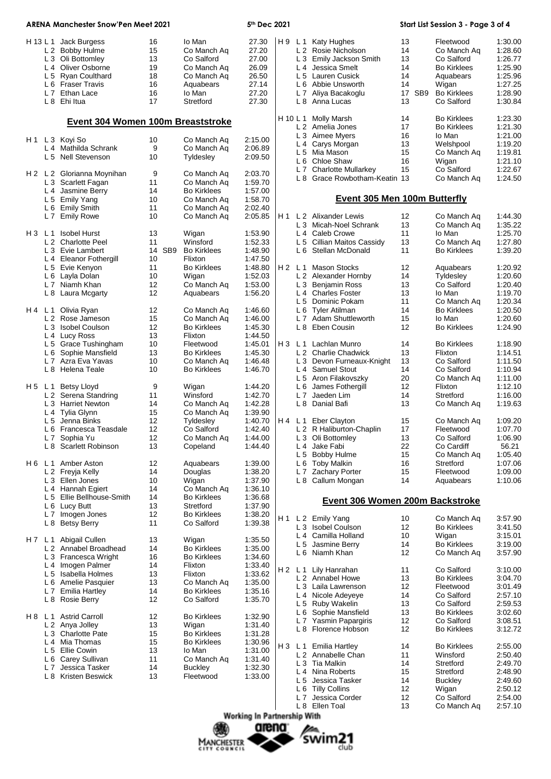| <b>ARENA Manchester Snow'Pen Meet 2021</b> |                |                                          |                       |                    | 5th Dec 2021 |     |                | Start List Session 3 - Page 3 of 4  |        |                        |                    |
|--------------------------------------------|----------------|------------------------------------------|-----------------------|--------------------|--------------|-----|----------------|-------------------------------------|--------|------------------------|--------------------|
|                                            |                | H 13 L 1 Jack Burgess                    | 16                    | lo Man             | 27.30        | H 9 |                | L 1 Katy Hughes                     | 13     | Fleetwood              | 1:30.00            |
|                                            |                | L 2 Bobby Hulme                          | 15                    | Co Manch Aq        | 27.20        |     |                | L 2 Rosie Nicholson                 | 14     | Co Manch Aq            | 1:28.60            |
|                                            |                | L 3 Oli Bottomley                        | 13                    | Co Salford         | 27.00        |     |                | L 3 Emily Jackson Smith             | 13     | Co Salford             | 1:26.77            |
|                                            |                | L 4 Oliver Osborne                       | 19                    | Co Manch Aq        | 26.09        |     | L4             | Jessica Smelt                       | 14     | <b>Bo Kirklees</b>     | 1:25.90            |
|                                            | L <sub>5</sub> | <b>Ryan Coulthard</b>                    | 18                    | Co Manch Aq        | 26.50        |     |                | L 5 Lauren Cusick                   | 14     | Aquabears              | 1:25.96            |
|                                            |                | L 6 Fraser Travis                        | 16                    | Aquabears          | 27.14        |     |                | L 6 Abbie Unsworth                  | 14     | Wigan                  | 1:27.25            |
|                                            |                | L 7 Ethan Lace                           | 16                    | lo Man             | 27.20        |     | L7             | Aliya Bacakoglu                     | 17 SB9 | <b>Bo Kirklees</b>     | 1:28.90            |
|                                            |                | L 8 Ehi Itua                             | 17                    | Stretford          | 27.30        |     |                | L 8 Anna Lucas                      | 13     | Co Salford             | 1:30.84            |
|                                            |                |                                          |                       |                    |              |     | H 10 L 1       | Molly Marsh                         | 14     | <b>Bo Kirklees</b>     | 1:23.30            |
|                                            |                | <b>Event 304 Women 100m Breaststroke</b> |                       |                    |              |     |                | L 2 Amelia Jones                    | 17     | <b>Bo Kirklees</b>     | 1:21.30            |
| H 1                                        |                | L 3 Koyi So                              | 10                    | Co Manch Ag        | 2:15.00      |     |                | L 3 Aimee Myers                     | 16     | lo Man                 | 1:21.00            |
|                                            |                | L 4 Mathilda Schrank                     | 9                     | Co Manch Aq        | 2:06.89      |     | L 4            | Carys Morgan                        | 13     | Welshpool              | 1:19.20            |
|                                            |                | L 5 Nell Stevenson                       | 10                    | Tyldesley          | 2:09.50      |     |                | L 5 Mia Mason                       | 15     | Co Manch Aq            | 1:19.81            |
|                                            |                |                                          |                       |                    |              |     | L 6            | Chloe Shaw                          | 16     | Wigan                  | 1:21.10            |
|                                            |                | H 2 L 2 Glorianna Moynihan               | 9                     | Co Manch Aq        | 2:03.70      |     |                | L 7 Charlotte Mullarkey             | 15     | Co Salford             | 1:22.67            |
|                                            |                | L 3 Scarlett Fagan                       | 11                    | Co Manch Aq        | 1:59.70      |     |                | L 8 Grace Rowbotham-Keatin 13       |        | Co Manch Aq            | 1:24.50            |
|                                            |                | L 4 Jasmine Berry                        | 14                    | <b>Bo Kirklees</b> | 1:57.00      |     |                |                                     |        |                        |                    |
|                                            |                | L 5 Emily Yang                           | 10                    | Co Manch Aq        | 1:58.70      |     |                | <b>Event 305 Men 100m Butterfly</b> |        |                        |                    |
|                                            |                | L 6 Emily Smith                          | 11                    | Co Manch Aq        | 2:02.40      |     |                |                                     |        |                        |                    |
|                                            |                | L 7 Emily Rowe                           | 10                    | Co Manch Aq        | 2:05.85      | H 1 |                | L 2 Alixander Lewis                 | 12     | Co Manch Ag            | 1:44.30            |
|                                            |                |                                          |                       |                    |              |     |                | L 3 Micah-Noel Schrank              | 13     | Co Manch Ag            | 1:35.22            |
|                                            | H3 L1          | <b>Isobel Hurst</b>                      | 13                    | Wigan              | 1:53.90      |     |                | L 4 Caleb Crowe                     | 11     | lo Man                 | 1:25.70            |
|                                            |                | L 2 Charlotte Peel                       | 11                    | Winsford           | 1:52.33      |     | L <sub>5</sub> | Cillian Maitos Cassidy              | 13     | Co Manch Aq            | 1:27.80            |
|                                            |                | L 3 Evie Lambert                         | 14<br>SB <sub>9</sub> | <b>Bo Kirklees</b> | 1:48.90      |     |                | L 6 Stellan McDonald                | 11     | <b>Bo Kirklees</b>     | 1:39.20            |
|                                            |                | <b>Eleanor Fothergill</b>                | 10                    | Flixton            | 1:47.50      |     |                |                                     |        |                        |                    |
|                                            | L4             | L 5 Evie Kenyon                          | 11                    |                    |              |     |                | H 2 L 1 Mason Stocks                | 12     |                        | 1:20.92            |
|                                            |                | Lavla Dolan                              | 10                    | <b>Bo Kirklees</b> | 1:48.80      |     |                | L 2 Alexander Hornby                | 14     | Aquabears<br>Tyldesley |                    |
|                                            | L <sub>6</sub> |                                          | 12                    | Wigan              | 1:52.03      |     |                | L 3 Benjamin Ross                   |        |                        | 1:20.60<br>1:20.40 |
|                                            |                | L 7 Niamh Khan                           |                       | Co Manch Aq        | 1:53.00      |     |                |                                     | 13     | Co Salford             |                    |
|                                            | L 8            | Laura Mcgarty                            | 12                    | Aquabears          | 1:56.20      |     |                | L <sub>4</sub> Charles Foster       | 13     | lo Man                 | 1:19.70            |
|                                            |                |                                          |                       |                    |              |     |                | L 5 Dominic Pokam                   | 11     | Co Manch Aq            | 1:20.34            |
| H4 L1                                      |                | Olivia Ryan                              | 12                    | Co Manch Aq        | 1:46.60      |     |                | L 6 Tyler Atilman                   | 14     | Bo Kirklees            | 1:20.50            |
|                                            |                | L <sub>2</sub> Rose Jameson              | 15                    | Co Manch Aq        | 1:46.00      |     |                | L 7 Adam Shuttleworth               | 15     | Io Man                 | 1:20.60            |
|                                            |                | L 3 Isobel Coulson                       | 12                    | <b>Bo Kirklees</b> | 1:45.30      |     |                | L 8 Eben Cousin                     | 12     | Bo Kirklees            | 1:24.90            |
|                                            | L4             | Lucy Ross                                | 13                    | Flixton            | 1:44.50      |     |                |                                     |        |                        |                    |
|                                            | L <sub>5</sub> | <b>Grace Tushingham</b>                  | 10                    | Fleetwood          | 1:45.01      |     |                | H 3 L 1 Lachlan Munro               | 14     | <b>Bo Kirklees</b>     | 1:18.90            |
|                                            | L <sub>6</sub> | Sophie Mansfield                         | 13                    | <b>Bo Kirklees</b> | 1:45.30      |     |                | L 2 Charlie Chadwick                | 13     | Flixton                | 1:14.51            |
|                                            |                | L 7 Azra Eva Yavas                       | 10                    | Co Manch Aq        | 1:46.48      |     |                | L 3 Devon Furneaux-Knight           | 13     | Co Salford             | 1:11.50            |
|                                            | L 8            | Helena Teale                             | 10                    | <b>Bo Kirklees</b> | 1:46.70      |     |                | L 4 Samuel Stout                    | 14     | Co Salford             | 1:10.94            |
|                                            |                |                                          |                       |                    |              |     |                | L 5 Aron Filakovszky                | 20     | Co Manch Ag            | 1:11.00            |
| H5 L1                                      |                | <b>Betsy Lloyd</b>                       | 9                     | Wigan              | 1:44.20      |     | L 6            | James Fothergill                    | 12     | Flixton                | 1:12.10            |
|                                            |                | L 2 Serena Standring                     | 11                    | Winsford           | 1:42.70      |     |                | L 7 Jaeden Lim                      | 14     | Stretford              | 1:16.00            |
|                                            |                | L 3 Harriet Newton                       | 14                    | Co Manch Aq        | 1:42.28      |     | L8             | Danial Bafi                         | 13     | Co Manch Aq            | 1:19.63            |
|                                            | L4             | Tylia Glynn                              | 15                    | Co Manch Aq        | 1:39.90      |     |                |                                     |        |                        |                    |
|                                            |                | L 5 Jenna Binks                          | 12                    | Tyldesley          | 1:40.70      |     |                | H 4 L 1 Eber Clayton                | 15     | Co Manch Aq            | 1:09.20            |
|                                            |                | L 6 Francesca Teasdale                   | 12                    | Co Salford         | 1:42.40      |     |                | L 2 R Haliburton-Chaplin            | 17     | Fleetwood              | 1:07.70            |
|                                            |                | L 7 Sophia Yu                            | 12                    | Co Manch Aq        | 1:44.00      |     |                | L 3 Oli Bottomley                   | 13     | Co Salford             | 1:06.90            |
|                                            |                | L 8 Scarlett Robinson                    | 13                    | Copeland           | 1:44.40      |     |                | L 4 Jake Fabi                       | 22     | Co Cardiff             | 56.21              |
|                                            |                |                                          |                       |                    |              |     |                | L 5 Bobby Hulme                     | 15     | Co Manch Aq            | 1:05.40            |
| H 6                                        |                | L 1 Amber Aston                          | 12                    | Aquabears          | 1:39.00      |     |                | L 6 Toby Malkin                     | 16     | Stretford              | 1:07.06            |
|                                            |                | L 2 Freyja Kelly                         | 14                    | Douglas            | 1:38.20      |     |                | L 7 Zachary Porter                  | 15     | Fleetwood              | 1:09.00            |
|                                            |                | L 3 Ellen Jones                          | 10                    | Wigan              | 1:37.90      |     |                | L 8 Callum Mongan                   | 14     | Aquabears              | 1:10.06            |
|                                            | L 4            | Hannah Egiert                            | 14                    | Co Manch Aq        | 1:36.10      |     |                |                                     |        |                        |                    |
|                                            | L <sub>5</sub> | Ellie Bellhouse-Smith                    | 14                    | <b>Bo Kirklees</b> | 1:36.68      |     |                | Event 306 Women 200m Backstroke     |        |                        |                    |
|                                            |                | L 6 Lucy Butt                            | 13                    | Stretford          | 1:37.90      |     |                |                                     |        |                        |                    |
|                                            |                | L 7 Imogen Jones                         | 12                    | <b>Bo Kirklees</b> | 1:38.20      |     |                |                                     |        |                        |                    |
|                                            | L 8            | <b>Betsy Berry</b>                       | 11                    | Co Salford         | 1:39.38      | H 1 |                | L 2 Emily Yang                      | 10     | Co Manch Ag            | 3:57.90            |
|                                            |                |                                          |                       |                    |              |     |                | L 3 Isobel Coulson                  | 12     | <b>Bo Kirklees</b>     | 3:41.50            |
|                                            |                | H 7 L 1 Abigail Cullen                   | 13                    | Wigan              | 1:35.50      |     |                | L 4 Camilla Holland                 | 10     | Wigan                  | 3:15.01            |
|                                            |                | L 2 Annabel Broadhead                    | 14                    | <b>Bo Kirklees</b> | 1:35.00      |     |                | L 5 Jasmine Berry                   | 14     | <b>Bo Kirklees</b>     | 3:19.00            |
|                                            |                | L 3 Francesca Wright                     | 16                    | <b>Bo Kirklees</b> | 1:34.60      |     |                | L 6 Niamh Khan                      | 12     | Co Manch Aq            | 3:57.90            |
|                                            |                | L 4 Imogen Palmer                        | 14                    | Flixton            | 1:33.40      |     |                |                                     |        |                        |                    |
|                                            |                | L 5 Isabella Holmes                      | 13                    | Flixton            | 1:33.62      | H 2 | L <sub>1</sub> | Lily Hanrahan                       | 11     | Co Salford             | 3:10.00            |
|                                            | L 6            | Amelie Pasquier                          | 13                    | Co Manch Aq        | 1:35.00      |     |                | L 2 Annabel Howe                    | 13     | <b>Bo Kirklees</b>     | 3:04.70            |
|                                            |                | L 7 Emilia Hartley                       | 14                    | <b>Bo Kirklees</b> | 1:35.16      |     |                | L 3 Laila Lawrenson                 | 12     | Fleetwood              | 3:01.49            |
|                                            | L 8            | <b>Rosie Berry</b>                       | 12                    | Co Salford         | 1:35.70      |     |                | L 4 Nicole Adeyeye                  | 14     | Co Salford             | 2:57.10            |
|                                            |                |                                          |                       |                    |              |     |                | L 5 Ruby Wakelin                    | 13     | Co Salford             | 2:59.53            |
| H 8                                        |                | L 1 Astrid Carroll                       | 12                    | <b>Bo Kirklees</b> | 1:32.90      |     |                | L 6 Sophie Mansfield                | 13     | <b>Bo Kirklees</b>     | 3:02.60            |
|                                            |                | L 2 Anya Jolley                          | 13                    | Wigan              | 1:31.40      |     |                | L 7 Yasmin Papargiris               | 12     | Co Salford             | 3:08.51            |
|                                            |                |                                          |                       |                    |              |     |                | L 8 Florence Hobson                 | 12     | <b>Bo Kirklees</b>     | 3:12.72            |
|                                            | L <sub>3</sub> | <b>Charlotte Pate</b>                    | 15                    | <b>Bo Kirklees</b> | 1:31.28      |     |                |                                     |        |                        |                    |
|                                            | L <sub>4</sub> | Mia Thomas                               | 15                    | <b>Bo Kirklees</b> | 1:30.96      | HЗ  |                | L 1 Emilia Hartley                  | 14     | <b>Bo Kirklees</b>     | 2:55.00            |
|                                            | L <sub>5</sub> | Ellie Cowin                              | 13                    | lo Man             | 1:31.00      |     |                | L 2 Annabelle Chan                  | 11     | Winsford               | 2:50.40            |
|                                            | L 6            | Carey Sullivan                           | 11                    | Co Manch Aq        | 1:31.40      |     |                | L 3 Tia Malkin                      | 14     | Stretford              | 2:49.70            |
|                                            | L <sub>7</sub> | Jessica Tasker                           | 14                    | <b>Buckley</b>     | 1:32.30      |     |                | L 4 Nina Roberts                    | 15     | Stretford              | 2:48.90            |
|                                            | L 8            | Kristen Beswick                          | 13                    | Fleetwood          | 1:33.00      |     | L 5            | Jessica Tasker                      | 14     | <b>Buckley</b>         | 2:49.60            |
|                                            |                |                                          |                       |                    |              |     |                | L 6 Tilly Collins                   | 12     | Wigan                  | 2:50.12            |
|                                            |                |                                          |                       |                    |              |     | L 7            | Jessica Corder                      | 12     | Co Salford             | 2:54.00            |
|                                            |                |                                          |                       |                    |              |     |                | L 8 Ellen Toal                      | 13     | Co Manch Aq            | 2:57.10            |